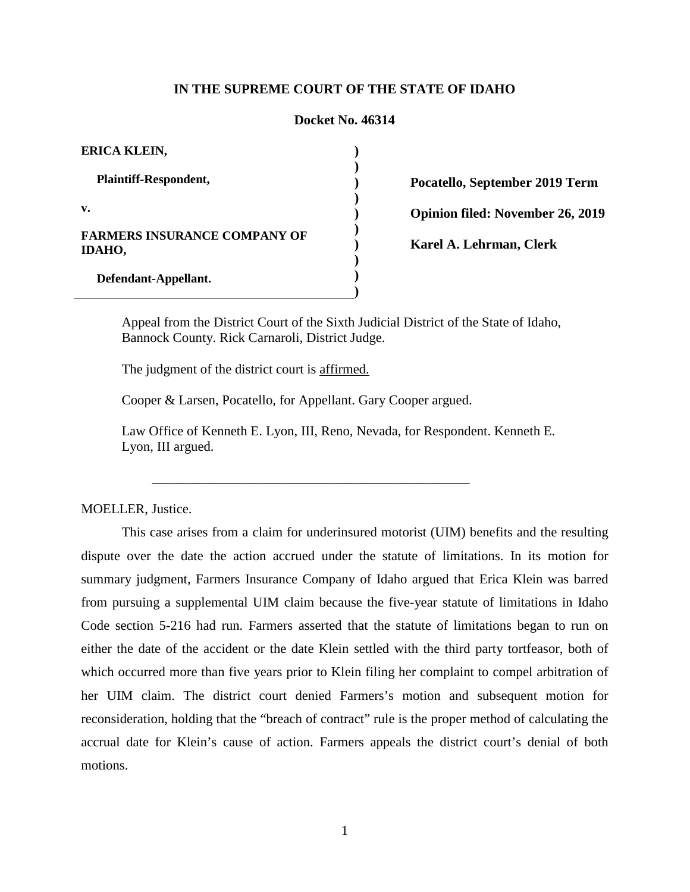## **IN THE SUPREME COURT OF THE STATE OF IDAHO**

#### **Docket No. 46314**

**) ) ) ) ) ) ) ) ) )**

| ERICA KLEIN,                                  |
|-----------------------------------------------|
| <b>Plaintiff-Respondent,</b>                  |
| v.                                            |
| <b>FARMERS INSURANCE COMPANY OF</b><br>IDAHO, |
| Defendant-Appellant.                          |

**Pocatello, September 2019 Term Opinion filed: November 26, 2019**

**Karel A. Lehrman, Clerk** 

Appeal from the District Court of the Sixth Judicial District of the State of Idaho, Bannock County. Rick Carnaroli, District Judge.

The judgment of the district court is affirmed.

Cooper & Larsen, Pocatello, for Appellant. Gary Cooper argued.

\_\_\_\_\_\_\_\_\_\_\_\_\_\_\_\_\_\_\_\_\_\_\_\_\_\_\_\_\_\_\_\_\_\_\_\_\_\_\_\_\_\_\_\_\_\_\_

Law Office of Kenneth E. Lyon, III, Reno, Nevada, for Respondent. Kenneth E. Lyon, III argued.

MOELLER, Justice.

This case arises from a claim for underinsured motorist (UIM) benefits and the resulting dispute over the date the action accrued under the statute of limitations. In its motion for summary judgment, Farmers Insurance Company of Idaho argued that Erica Klein was barred from pursuing a supplemental UIM claim because the five-year statute of limitations in Idaho Code section 5-216 had run. Farmers asserted that the statute of limitations began to run on either the date of the accident or the date Klein settled with the third party tortfeasor, both of which occurred more than five years prior to Klein filing her complaint to compel arbitration of her UIM claim. The district court denied Farmers's motion and subsequent motion for reconsideration, holding that the "breach of contract" rule is the proper method of calculating the accrual date for Klein's cause of action. Farmers appeals the district court's denial of both motions.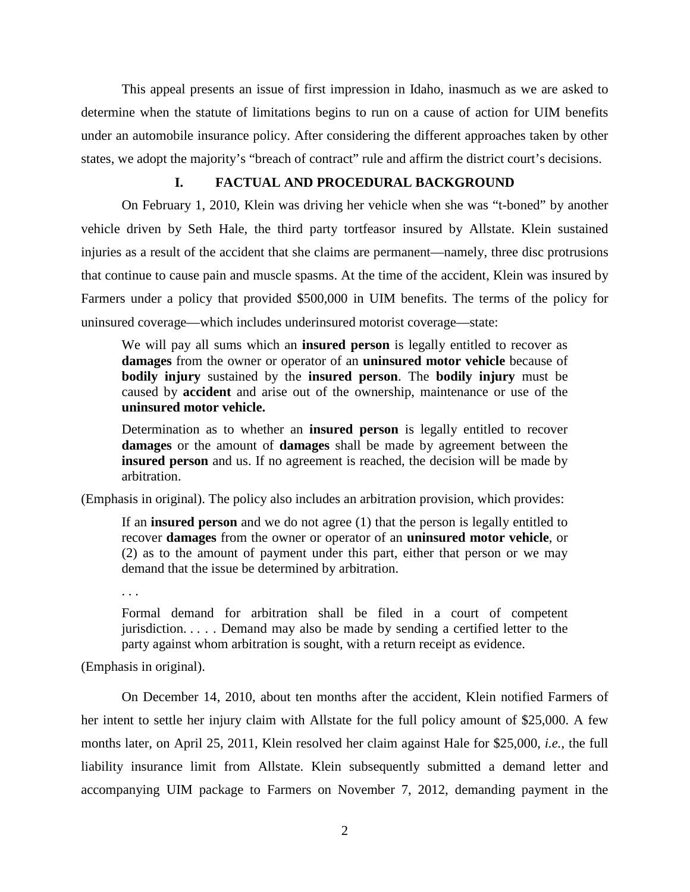This appeal presents an issue of first impression in Idaho, inasmuch as we are asked to determine when the statute of limitations begins to run on a cause of action for UIM benefits under an automobile insurance policy. After considering the different approaches taken by other states, we adopt the majority's "breach of contract" rule and affirm the district court's decisions.

# **I. FACTUAL AND PROCEDURAL BACKGROUND**

On February 1, 2010, Klein was driving her vehicle when she was "t-boned" by another vehicle driven by Seth Hale, the third party tortfeasor insured by Allstate. Klein sustained injuries as a result of the accident that she claims are permanent—namely, three disc protrusions that continue to cause pain and muscle spasms. At the time of the accident, Klein was insured by Farmers under a policy that provided \$500,000 in UIM benefits. The terms of the policy for uninsured coverage—which includes underinsured motorist coverage—state:

We will pay all sums which an **insured person** is legally entitled to recover as **damages** from the owner or operator of an **uninsured motor vehicle** because of **bodily injury** sustained by the **insured person**. The **bodily injury** must be caused by **accident** and arise out of the ownership, maintenance or use of the **uninsured motor vehicle.**

Determination as to whether an **insured person** is legally entitled to recover **damages** or the amount of **damages** shall be made by agreement between the **insured person** and us. If no agreement is reached, the decision will be made by arbitration.

(Emphasis in original). The policy also includes an arbitration provision, which provides:

If an **insured person** and we do not agree (1) that the person is legally entitled to recover **damages** from the owner or operator of an **uninsured motor vehicle**, or (2) as to the amount of payment under this part, either that person or we may demand that the issue be determined by arbitration.

. . .

Formal demand for arbitration shall be filed in a court of competent jurisdiction. . . . . Demand may also be made by sending a certified letter to the party against whom arbitration is sought, with a return receipt as evidence.

(Emphasis in original).

On December 14, 2010, about ten months after the accident, Klein notified Farmers of her intent to settle her injury claim with Allstate for the full policy amount of \$25,000. A few months later, on April 25, 2011, Klein resolved her claim against Hale for \$25,000, *i.e.*, the full liability insurance limit from Allstate. Klein subsequently submitted a demand letter and accompanying UIM package to Farmers on November 7, 2012, demanding payment in the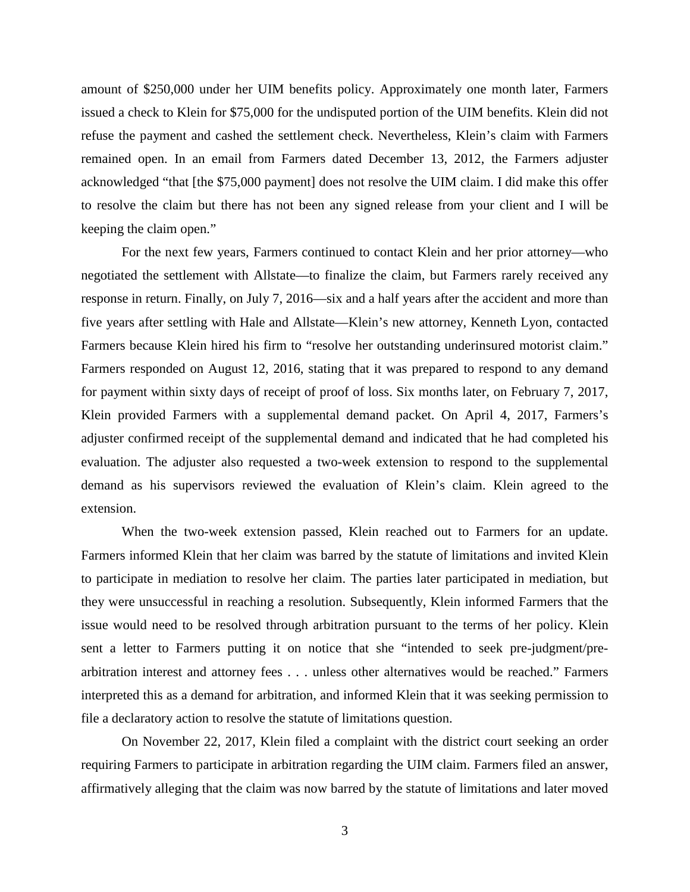amount of \$250,000 under her UIM benefits policy. Approximately one month later, Farmers issued a check to Klein for \$75,000 for the undisputed portion of the UIM benefits. Klein did not refuse the payment and cashed the settlement check. Nevertheless, Klein's claim with Farmers remained open. In an email from Farmers dated December 13, 2012, the Farmers adjuster acknowledged "that [the \$75,000 payment] does not resolve the UIM claim. I did make this offer to resolve the claim but there has not been any signed release from your client and I will be keeping the claim open."

For the next few years, Farmers continued to contact Klein and her prior attorney—who negotiated the settlement with Allstate—to finalize the claim, but Farmers rarely received any response in return. Finally, on July 7, 2016—six and a half years after the accident and more than five years after settling with Hale and Allstate—Klein's new attorney, Kenneth Lyon, contacted Farmers because Klein hired his firm to "resolve her outstanding underinsured motorist claim." Farmers responded on August 12, 2016, stating that it was prepared to respond to any demand for payment within sixty days of receipt of proof of loss. Six months later, on February 7, 2017, Klein provided Farmers with a supplemental demand packet. On April 4, 2017, Farmers's adjuster confirmed receipt of the supplemental demand and indicated that he had completed his evaluation. The adjuster also requested a two-week extension to respond to the supplemental demand as his supervisors reviewed the evaluation of Klein's claim. Klein agreed to the extension.

When the two-week extension passed, Klein reached out to Farmers for an update. Farmers informed Klein that her claim was barred by the statute of limitations and invited Klein to participate in mediation to resolve her claim. The parties later participated in mediation, but they were unsuccessful in reaching a resolution. Subsequently, Klein informed Farmers that the issue would need to be resolved through arbitration pursuant to the terms of her policy. Klein sent a letter to Farmers putting it on notice that she "intended to seek pre-judgment/prearbitration interest and attorney fees . . . unless other alternatives would be reached." Farmers interpreted this as a demand for arbitration, and informed Klein that it was seeking permission to file a declaratory action to resolve the statute of limitations question.

On November 22, 2017, Klein filed a complaint with the district court seeking an order requiring Farmers to participate in arbitration regarding the UIM claim. Farmers filed an answer, affirmatively alleging that the claim was now barred by the statute of limitations and later moved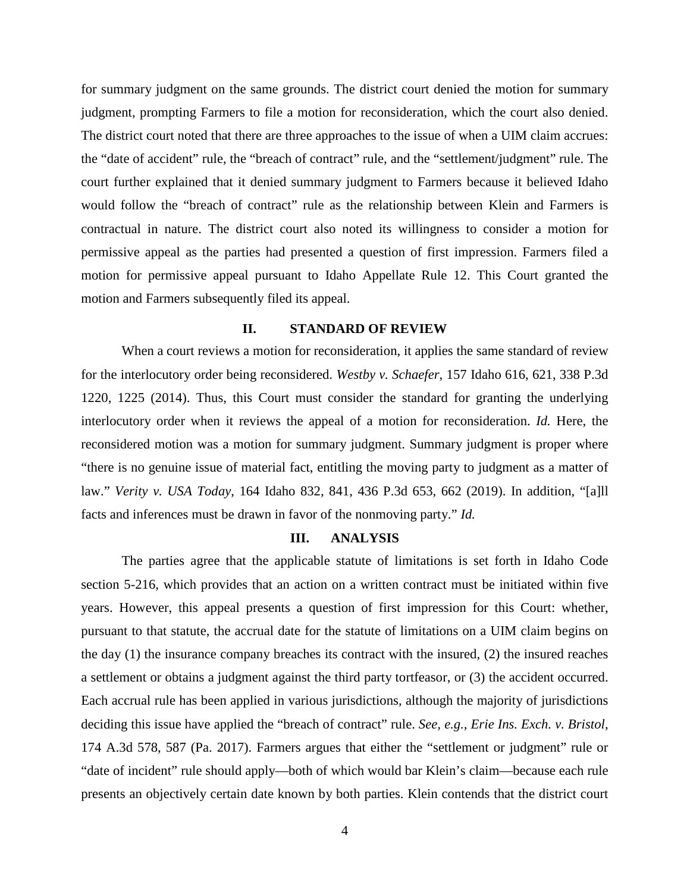for summary judgment on the same grounds. The district court denied the motion for summary judgment, prompting Farmers to file a motion for reconsideration, which the court also denied. The district court noted that there are three approaches to the issue of when a UIM claim accrues: the "date of accident" rule, the "breach of contract" rule, and the "settlement/judgment" rule. The court further explained that it denied summary judgment to Farmers because it believed Idaho would follow the "breach of contract" rule as the relationship between Klein and Farmers is contractual in nature. The district court also noted its willingness to consider a motion for permissive appeal as the parties had presented a question of first impression. Farmers filed a motion for permissive appeal pursuant to Idaho Appellate Rule 12. This Court granted the motion and Farmers subsequently filed its appeal.

## **II. STANDARD OF REVIEW**

When a court reviews a motion for reconsideration, it applies the same standard of review for the interlocutory order being reconsidered. *Westby v. Schaefer*, 157 Idaho 616, 621, 338 P.3d 1220, 1225 (2014). Thus, this Court must consider the standard for granting the underlying interlocutory order when it reviews the appeal of a motion for reconsideration. *Id.* Here, the reconsidered motion was a motion for summary judgment. Summary judgment is proper where "there is no genuine issue of material fact, entitling the moving party to judgment as a matter of law." *Verity v. USA Today*, 164 Idaho 832, 841, 436 P.3d 653, 662 (2019). In addition, "[a]ll facts and inferences must be drawn in favor of the nonmoving party." *Id.*

### **III. ANALYSIS**

The parties agree that the applicable statute of limitations is set forth in Idaho Code section 5-216, which provides that an action on a written contract must be initiated within five years. However, this appeal presents a question of first impression for this Court: whether, pursuant to that statute, the accrual date for the statute of limitations on a UIM claim begins on the day (1) the insurance company breaches its contract with the insured, (2) the insured reaches a settlement or obtains a judgment against the third party tortfeasor, or (3) the accident occurred. Each accrual rule has been applied in various jurisdictions, although the majority of jurisdictions deciding this issue have applied the "breach of contract" rule. *See, e.g., Erie Ins. Exch. v. Bristol*, 174 A.3d 578, 587 (Pa. 2017). Farmers argues that either the "settlement or judgment" rule or "date of incident" rule should apply—both of which would bar Klein's claim—because each rule presents an objectively certain date known by both parties. Klein contends that the district court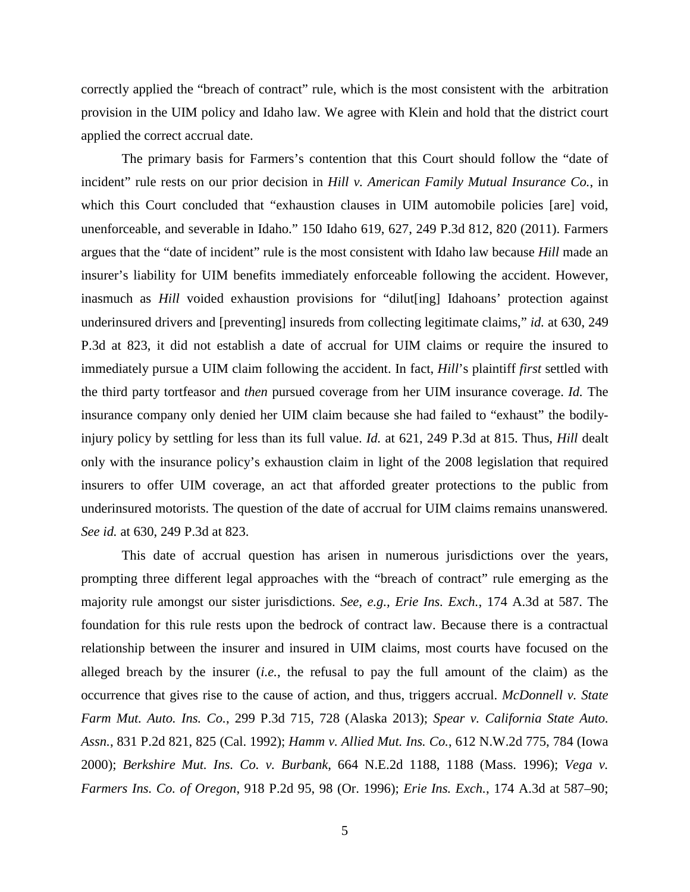correctly applied the "breach of contract" rule, which is the most consistent with the arbitration provision in the UIM policy and Idaho law. We agree with Klein and hold that the district court applied the correct accrual date.

The primary basis for Farmers's contention that this Court should follow the "date of incident" rule rests on our prior decision in *Hill v. American Family Mutual Insurance Co.*, in which this Court concluded that "exhaustion clauses in UIM automobile policies [are] void, unenforceable, and severable in Idaho." 150 Idaho 619, 627, 249 P.3d 812, 820 (2011). Farmers argues that the "date of incident" rule is the most consistent with Idaho law because *Hill* made an insurer's liability for UIM benefits immediately enforceable following the accident. However, inasmuch as *Hill* voided exhaustion provisions for "dilut[ing] Idahoans' protection against underinsured drivers and [preventing] insureds from collecting legitimate claims," *id.* at 630, 249 P.3d at 823, it did not establish a date of accrual for UIM claims or require the insured to immediately pursue a UIM claim following the accident. In fact, *Hill*'s plaintiff *first* settled with the third party tortfeasor and *then* pursued coverage from her UIM insurance coverage. *Id.* The insurance company only denied her UIM claim because she had failed to "exhaust" the bodilyinjury policy by settling for less than its full value. *Id.* at 621, 249 P.3d at 815. Thus, *Hill* dealt only with the insurance policy's exhaustion claim in light of the 2008 legislation that required insurers to offer UIM coverage, an act that afforded greater protections to the public from underinsured motorists. The question of the date of accrual for UIM claims remains unanswered*. See id.* at 630, 249 P.3d at 823.

This date of accrual question has arisen in numerous jurisdictions over the years, prompting three different legal approaches with the "breach of contract" rule emerging as the majority rule amongst our sister jurisdictions. *See, e.g., Erie Ins. Exch.*, 174 A.3d at 587. The foundation for this rule rests upon the bedrock of contract law. Because there is a contractual relationship between the insurer and insured in UIM claims, most courts have focused on the alleged breach by the insurer (*i.e.*, the refusal to pay the full amount of the claim) as the occurrence that gives rise to the cause of action, and thus, triggers accrual. *McDonnell v. State Farm Mut. Auto. Ins. Co.*, 299 P.3d 715, 728 (Alaska 2013); *Spear v. California State Auto. Assn.*, 831 P.2d 821, 825 (Cal. 1992); *Hamm v. Allied Mut. Ins. Co.*, 612 N.W.2d 775, 784 (Iowa 2000); *Berkshire Mut. Ins. Co. v. Burbank*, 664 N.E.2d 1188, 1188 (Mass. 1996); *Vega v. Farmers Ins. Co. of Oregon*, 918 P.2d 95, 98 (Or. 1996); *Erie Ins. Exch.*, 174 A.3d at 587–90;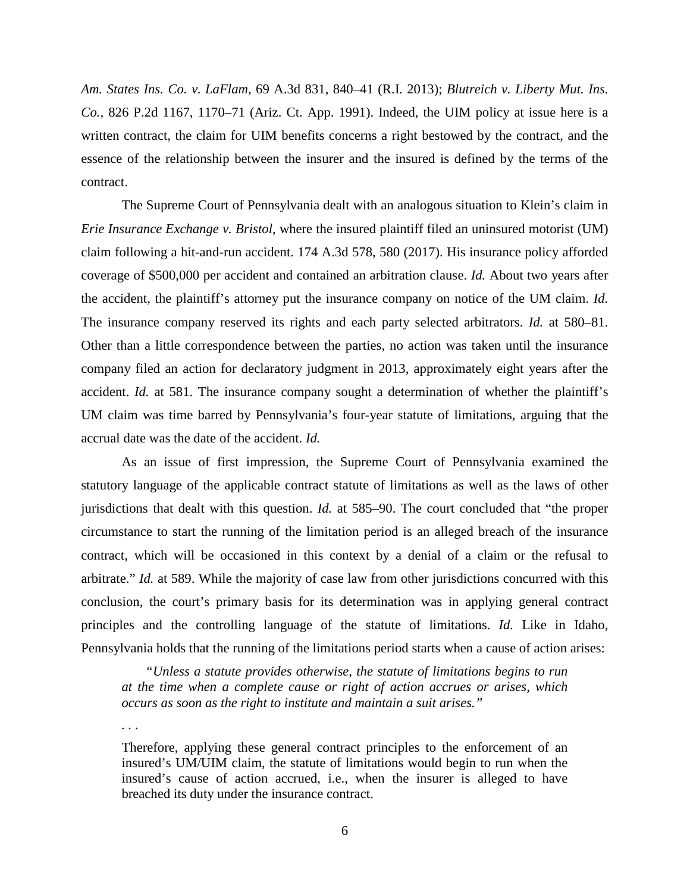*Am. States Ins. Co. v. LaFlam*, 69 A.3d 831, 840–41 (R.I. 2013); *Blutreich v. Liberty Mut. Ins. Co.*, 826 P.2d 1167, 1170–71 (Ariz. Ct. App. 1991). Indeed, the UIM policy at issue here is a written contract, the claim for UIM benefits concerns a right bestowed by the contract, and the essence of the relationship between the insurer and the insured is defined by the terms of the contract.

The Supreme Court of Pennsylvania dealt with an analogous situation to Klein's claim in *Erie Insurance Exchange v. Bristol*, where the insured plaintiff filed an uninsured motorist (UM) claim following a hit-and-run accident. 174 A.3d 578, 580 (2017). His insurance policy afforded coverage of \$500,000 per accident and contained an arbitration clause. *Id.* About two years after the accident, the plaintiff's attorney put the insurance company on notice of the UM claim. *Id.* The insurance company reserved its rights and each party selected arbitrators. *Id.* at 580–81. Other than a little correspondence between the parties, no action was taken until the insurance company filed an action for declaratory judgment in 2013, approximately eight years after the accident. *Id.* at 581. The insurance company sought a determination of whether the plaintiff's UM claim was time barred by Pennsylvania's four-year statute of limitations, arguing that the accrual date was the date of the accident. *Id.*

As an issue of first impression, the Supreme Court of Pennsylvania examined the statutory language of the applicable contract statute of limitations as well as the laws of other jurisdictions that dealt with this question. *Id.* at 585–90. The court concluded that "the proper circumstance to start the running of the limitation period is an alleged breach of the insurance contract, which will be occasioned in this context by a denial of a claim or the refusal to arbitrate." *Id.* at 589. While the majority of case law from other jurisdictions concurred with this conclusion, the court's primary basis for its determination was in applying general contract principles and the controlling language of the statute of limitations. *Id.* Like in Idaho, Pennsylvania holds that the running of the limitations period starts when a cause of action arises:

*"Unless a statute provides otherwise, the statute of limitations begins to run at the time when a complete cause or right of action accrues or arises, which occurs as soon as the right to institute and maintain a suit arises."*

*. . .* 

Therefore, applying these general contract principles to the enforcement of an insured's UM/UIM claim, the statute of limitations would begin to run when the insured's cause of action accrued, i.e., when the insurer is alleged to have breached its duty under the insurance contract.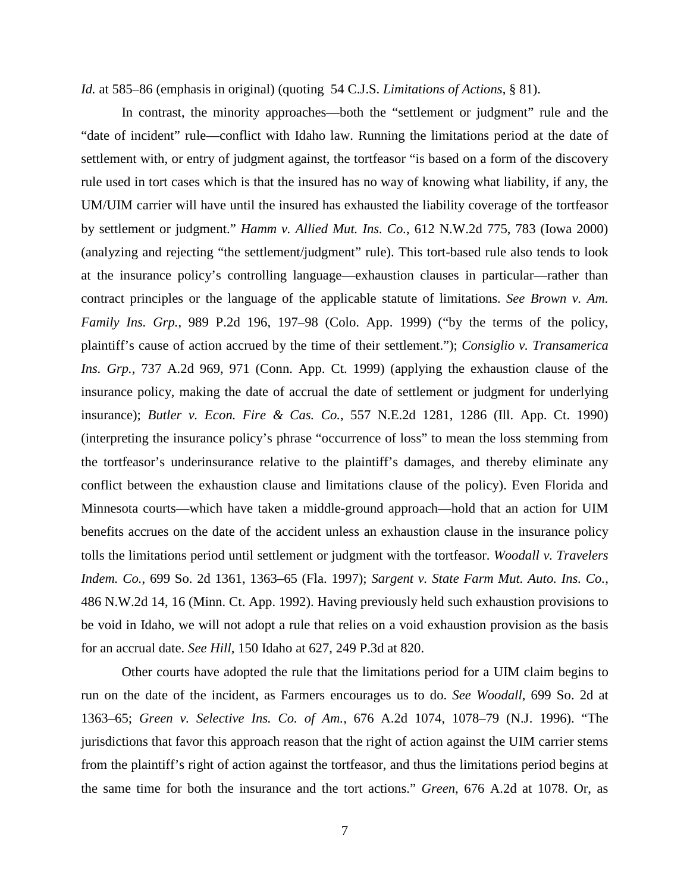*Id.* at 585–86 (emphasis in original) (quoting 54 C.J.S. *Limitations of Actions*, § 81).

In contrast, the minority approaches—both the "settlement or judgment" rule and the "date of incident" rule—conflict with Idaho law. Running the limitations period at the date of settlement with, or entry of judgment against, the tortfeasor "is based on a form of the discovery rule used in tort cases which is that the insured has no way of knowing what liability, if any, the UM/UIM carrier will have until the insured has exhausted the liability coverage of the tortfeasor by settlement or judgment." *Hamm v. Allied Mut. Ins. Co.*, 612 N.W.2d 775, 783 (Iowa 2000) (analyzing and rejecting "the settlement/judgment" rule). This tort-based rule also tends to look at the insurance policy's controlling language—exhaustion clauses in particular—rather than contract principles or the language of the applicable statute of limitations. *See Brown v. Am. Family Ins. Grp.*, 989 P.2d 196, 197–98 (Colo. App. 1999) ("by the terms of the policy, plaintiff's cause of action accrued by the time of their settlement."); *Consiglio v. Transamerica Ins. Grp.*, 737 A.2d 969, 971 (Conn. App. Ct. 1999) (applying the exhaustion clause of the insurance policy, making the date of accrual the date of settlement or judgment for underlying insurance); *Butler v. Econ. Fire & Cas. Co.*, 557 N.E.2d 1281, 1286 (Ill. App. Ct. 1990) (interpreting the insurance policy's phrase "occurrence of loss" to mean the loss stemming from the tortfeasor's underinsurance relative to the plaintiff's damages, and thereby eliminate any conflict between the exhaustion clause and limitations clause of the policy). Even Florida and Minnesota courts—which have taken a middle-ground approach—hold that an action for UIM benefits accrues on the date of the accident unless an exhaustion clause in the insurance policy tolls the limitations period until settlement or judgment with the tortfeasor. *Woodall v. Travelers Indem. Co.*, 699 So. 2d 1361, 1363–65 (Fla. 1997); *Sargent v. State Farm Mut. Auto. Ins. Co.*, 486 N.W.2d 14, 16 (Minn. Ct. App. 1992). Having previously held such exhaustion provisions to be void in Idaho, we will not adopt a rule that relies on a void exhaustion provision as the basis for an accrual date. *See Hill,* 150 Idaho at 627, 249 P.3d at 820.

Other courts have adopted the rule that the limitations period for a UIM claim begins to run on the date of the incident, as Farmers encourages us to do. *See Woodall*, 699 So. 2d at 1363–65; *Green v. Selective Ins. Co. of Am.*, 676 A.2d 1074, 1078–79 (N.J. 1996). "The jurisdictions that favor this approach reason that the right of action against the UIM carrier stems from the plaintiff's right of action against the tortfeasor, and thus the limitations period begins at the same time for both the insurance and the tort actions." *Green*, 676 A.2d at 1078. Or, as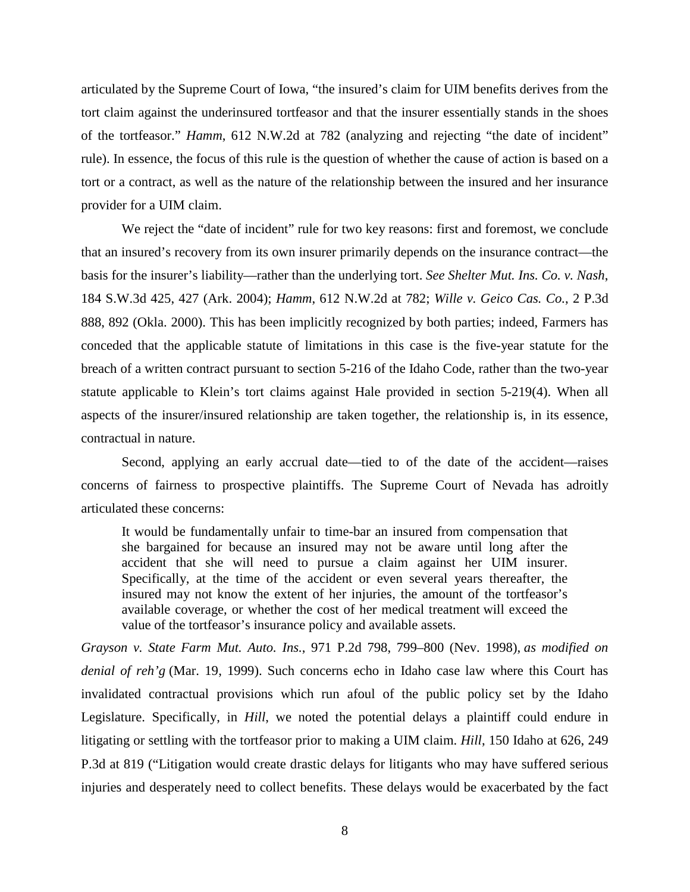articulated by the Supreme Court of Iowa, "the insured's claim for UIM benefits derives from the tort claim against the underinsured tortfeasor and that the insurer essentially stands in the shoes of the tortfeasor." *Hamm*, 612 N.W.2d at 782 (analyzing and rejecting "the date of incident" rule). In essence, the focus of this rule is the question of whether the cause of action is based on a tort or a contract, as well as the nature of the relationship between the insured and her insurance provider for a UIM claim.

We reject the "date of incident" rule for two key reasons: first and foremost, we conclude that an insured's recovery from its own insurer primarily depends on the insurance contract—the basis for the insurer's liability—rather than the underlying tort. *See Shelter Mut. Ins. Co. v. Nash*, 184 S.W.3d 425, 427 (Ark. 2004); *Hamm*, 612 N.W.2d at 782; *Wille v. Geico Cas. Co.*, 2 P.3d 888, 892 (Okla. 2000). This has been implicitly recognized by both parties; indeed, Farmers has conceded that the applicable statute of limitations in this case is the five-year statute for the breach of a written contract pursuant to section 5-216 of the Idaho Code, rather than the two-year statute applicable to Klein's tort claims against Hale provided in section 5-219(4). When all aspects of the insurer/insured relationship are taken together, the relationship is, in its essence, contractual in nature.

Second, applying an early accrual date—tied to of the date of the accident—raises concerns of fairness to prospective plaintiffs. The Supreme Court of Nevada has adroitly articulated these concerns:

It would be fundamentally unfair to time-bar an insured from compensation that she bargained for because an insured may not be aware until long after the accident that she will need to pursue a claim against her UIM insurer. Specifically, at the time of the accident or even several years thereafter, the insured may not know the extent of her injuries, the amount of the tortfeasor's available coverage, or whether the cost of her medical treatment will exceed the value of the tortfeasor's insurance policy and available assets.

*Grayson v. State Farm Mut. Auto. Ins.*, 971 P.2d 798, 799–800 (Nev. 1998), *as modified on denial of reh'g* (Mar. 19, 1999). Such concerns echo in Idaho case law where this Court has invalidated contractual provisions which run afoul of the public policy set by the Idaho Legislature. Specifically, in *Hill*, we noted the potential delays a plaintiff could endure in litigating or settling with the tortfeasor prior to making a UIM claim. *Hill*, 150 Idaho at 626, 249 P.3d at 819 ("Litigation would create drastic delays for litigants who may have suffered serious injuries and desperately need to collect benefits. These delays would be exacerbated by the fact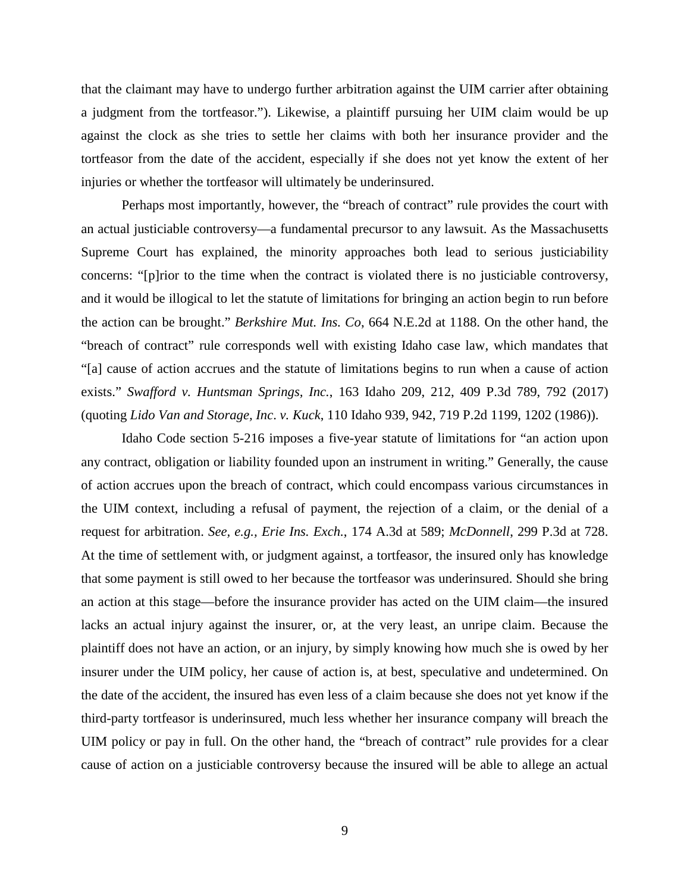that the claimant may have to undergo further arbitration against the UIM carrier after obtaining a judgment from the tortfeasor."). Likewise, a plaintiff pursuing her UIM claim would be up against the clock as she tries to settle her claims with both her insurance provider and the tortfeasor from the date of the accident, especially if she does not yet know the extent of her injuries or whether the tortfeasor will ultimately be underinsured.

Perhaps most importantly, however, the "breach of contract" rule provides the court with an actual justiciable controversy—a fundamental precursor to any lawsuit. As the Massachusetts Supreme Court has explained, the minority approaches both lead to serious justiciability concerns: "[p]rior to the time when the contract is violated there is no justiciable controversy, and it would be illogical to let the statute of limitations for bringing an action begin to run before the action can be brought." *Berkshire Mut. Ins. Co*, 664 N.E.2d at 1188. On the other hand, the "breach of contract" rule corresponds well with existing Idaho case law, which mandates that "[a] cause of action accrues and the statute of limitations begins to run when a cause of action exists." *Swafford v. Huntsman Springs, Inc.*, 163 Idaho 209, 212, 409 P.3d 789, 792 (2017) (quoting *Lido Van and Storage, Inc*. *v. Kuck*, 110 Idaho 939, 942, 719 P.2d 1199, 1202 (1986)).

Idaho Code section 5-216 imposes a five-year statute of limitations for "an action upon any contract, obligation or liability founded upon an instrument in writing." Generally, the cause of action accrues upon the breach of contract, which could encompass various circumstances in the UIM context, including a refusal of payment, the rejection of a claim, or the denial of a request for arbitration. *See, e.g., Erie Ins. Exch.*, 174 A.3d at 589; *McDonnell*, 299 P.3d at 728. At the time of settlement with, or judgment against, a tortfeasor, the insured only has knowledge that some payment is still owed to her because the tortfeasor was underinsured. Should she bring an action at this stage—before the insurance provider has acted on the UIM claim—the insured lacks an actual injury against the insurer, or, at the very least, an unripe claim. Because the plaintiff does not have an action, or an injury, by simply knowing how much she is owed by her insurer under the UIM policy, her cause of action is, at best, speculative and undetermined. On the date of the accident, the insured has even less of a claim because she does not yet know if the third-party tortfeasor is underinsured, much less whether her insurance company will breach the UIM policy or pay in full. On the other hand, the "breach of contract" rule provides for a clear cause of action on a justiciable controversy because the insured will be able to allege an actual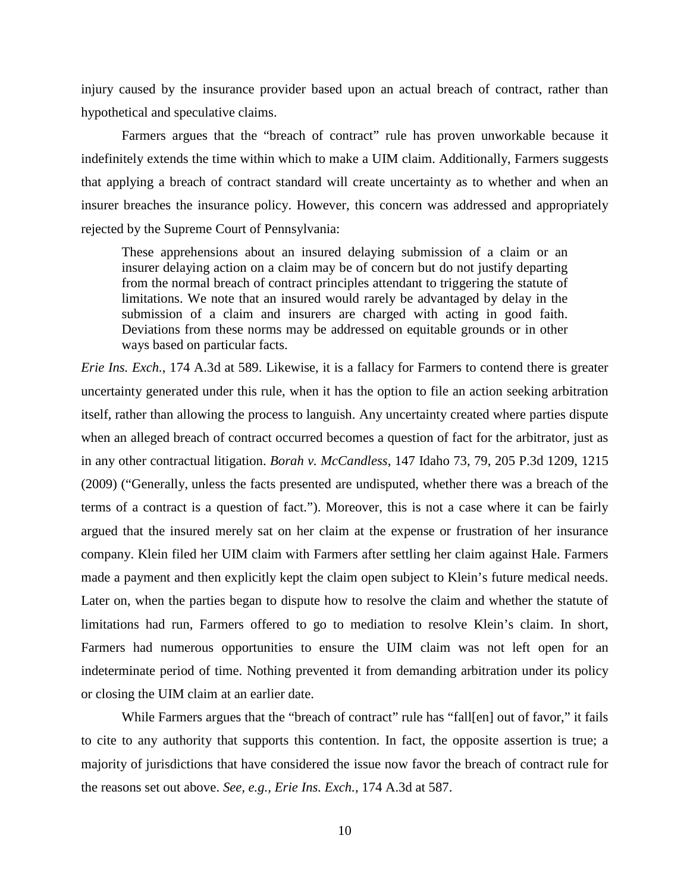injury caused by the insurance provider based upon an actual breach of contract, rather than hypothetical and speculative claims.

Farmers argues that the "breach of contract" rule has proven unworkable because it indefinitely extends the time within which to make a UIM claim. Additionally, Farmers suggests that applying a breach of contract standard will create uncertainty as to whether and when an insurer breaches the insurance policy. However, this concern was addressed and appropriately rejected by the Supreme Court of Pennsylvania:

These apprehensions about an insured delaying submission of a claim or an insurer delaying action on a claim may be of concern but do not justify departing from the normal breach of contract principles attendant to triggering the statute of limitations. We note that an insured would rarely be advantaged by delay in the submission of a claim and insurers are charged with acting in good faith. Deviations from these norms may be addressed on equitable grounds or in other ways based on particular facts.

*Erie Ins. Exch.*, 174 A.3d at 589. Likewise, it is a fallacy for Farmers to contend there is greater uncertainty generated under this rule, when it has the option to file an action seeking arbitration itself, rather than allowing the process to languish. Any uncertainty created where parties dispute when an alleged breach of contract occurred becomes a question of fact for the arbitrator, just as in any other contractual litigation. *Borah v. McCandless*, 147 Idaho 73, 79, 205 P.3d 1209, 1215 (2009) ("Generally, unless the facts presented are undisputed, whether there was a breach of the terms of a contract is a question of fact."). Moreover, this is not a case where it can be fairly argued that the insured merely sat on her claim at the expense or frustration of her insurance company. Klein filed her UIM claim with Farmers after settling her claim against Hale. Farmers made a payment and then explicitly kept the claim open subject to Klein's future medical needs. Later on, when the parties began to dispute how to resolve the claim and whether the statute of limitations had run, Farmers offered to go to mediation to resolve Klein's claim. In short, Farmers had numerous opportunities to ensure the UIM claim was not left open for an indeterminate period of time. Nothing prevented it from demanding arbitration under its policy or closing the UIM claim at an earlier date.

While Farmers argues that the "breach of contract" rule has "fall[en] out of favor," it fails to cite to any authority that supports this contention. In fact, the opposite assertion is true; a majority of jurisdictions that have considered the issue now favor the breach of contract rule for the reasons set out above. *See, e.g., Erie Ins. Exch.*, 174 A.3d at 587.